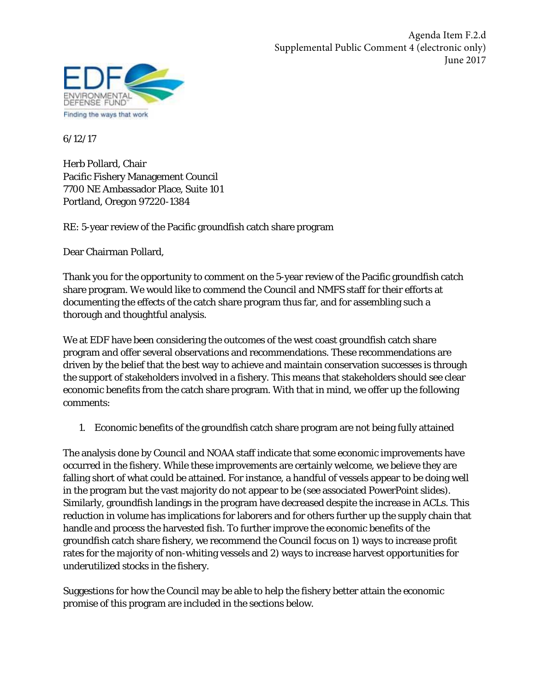

6/12/17

Herb Pollard, Chair Pacific Fishery Management Council 7700 NE Ambassador Place, Suite 101 Portland, Oregon 97220-1384

RE: 5-year review of the Pacific groundfish catch share program

Dear Chairman Pollard,

Thank you for the opportunity to comment on the 5-year review of the Pacific groundfish catch share program. We would like to commend the Council and NMFS staff for their efforts at documenting the effects of the catch share program thus far, and for assembling such a thorough and thoughtful analysis.

We at EDF have been considering the outcomes of the west coast groundfish catch share program and offer several observations and recommendations. These recommendations are driven by the belief that the best way to achieve and maintain conservation successes is through the support of stakeholders involved in a fishery. This means that stakeholders should see clear economic benefits from the catch share program. With that in mind, we offer up the following comments:

1. Economic benefits of the groundfish catch share program are not being fully attained

The analysis done by Council and NOAA staff indicate that some economic improvements have occurred in the fishery. While these improvements are certainly welcome, we believe they are falling short of what could be attained. For instance, a handful of vessels appear to be doing well in the program but the vast majority do not appear to be (see associated PowerPoint slides). Similarly, groundfish landings in the program have decreased despite the increase in ACLs. This reduction in volume has implications for laborers and for others further up the supply chain that handle and process the harvested fish. To further improve the economic benefits of the groundfish catch share fishery, we recommend the Council focus on 1) ways to increase profit rates for the majority of non-whiting vessels and 2) ways to increase harvest opportunities for underutilized stocks in the fishery.

Suggestions for how the Council may be able to help the fishery better attain the economic promise of this program are included in the sections below.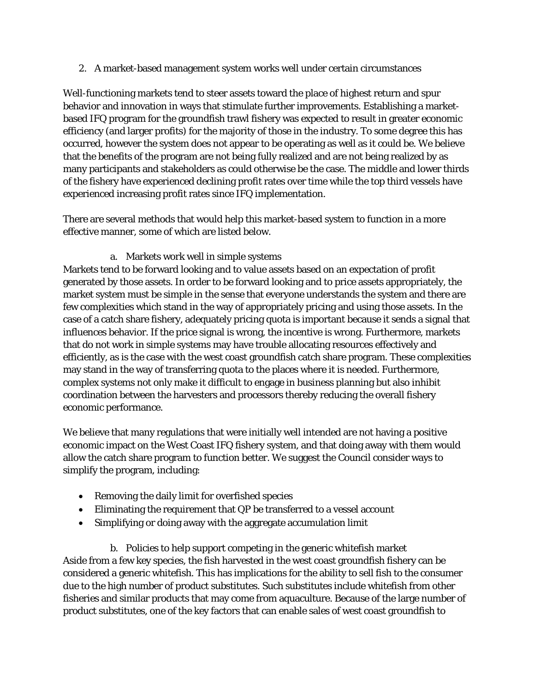2. A market-based management system works well under certain circumstances

Well-functioning markets tend to steer assets toward the place of highest return and spur behavior and innovation in ways that stimulate further improvements. Establishing a marketbased IFQ program for the groundfish trawl fishery was expected to result in greater economic efficiency (and larger profits) for the majority of those in the industry. To some degree this has occurred, however the system does not appear to be operating as well as it could be. We believe that the benefits of the program are not being fully realized and are not being realized by as many participants and stakeholders as could otherwise be the case. The middle and lower thirds of the fishery have experienced declining profit rates over time while the top third vessels have experienced increasing profit rates since IFQ implementation.

There are several methods that would help this market-based system to function in a more effective manner, some of which are listed below.

a. Markets work well in simple systems

Markets tend to be forward looking and to value assets based on an expectation of profit generated by those assets. In order to be forward looking and to price assets appropriately, the market system must be simple in the sense that everyone understands the system and there are few complexities which stand in the way of appropriately pricing and using those assets. In the case of a catch share fishery, adequately pricing quota is important because it sends a signal that influences behavior. If the price signal is wrong, the incentive is wrong. Furthermore, markets that do not work in simple systems may have trouble allocating resources effectively and efficiently, as is the case with the west coast groundfish catch share program. These complexities may stand in the way of transferring quota to the places where it is needed. Furthermore, complex systems not only make it difficult to engage in business planning but also inhibit coordination between the harvesters and processors thereby reducing the overall fishery economic performance.

We believe that many regulations that were initially well intended are not having a positive economic impact on the West Coast IFQ fishery system, and that doing away with them would allow the catch share program to function better. We suggest the Council consider ways to simplify the program, including:

- Removing the daily limit for overfished species
- Eliminating the requirement that QP be transferred to a vessel account
- Simplifying or doing away with the aggregate accumulation limit

b. Policies to help support competing in the generic whitefish market Aside from a few key species, the fish harvested in the west coast groundfish fishery can be considered a generic whitefish. This has implications for the ability to sell fish to the consumer due to the high number of product substitutes. Such substitutes include whitefish from other fisheries and similar products that may come from aquaculture. Because of the large number of product substitutes, one of the key factors that can enable sales of west coast groundfish to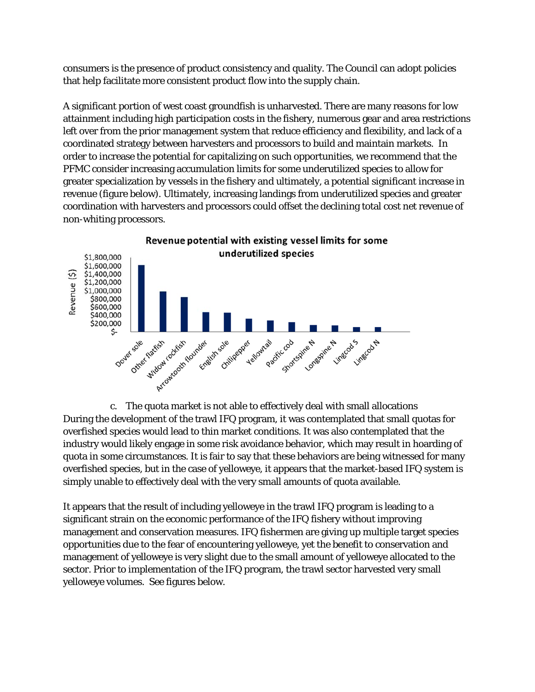consumers is the presence of product consistency and quality. The Council can adopt policies that help facilitate more consistent product flow into the supply chain.

A significant portion of west coast groundfish is unharvested. There are many reasons for low attainment including high participation costs in the fishery, numerous gear and area restrictions left over from the prior management system that reduce efficiency and flexibility, and lack of a coordinated strategy between harvesters and processors to build and maintain markets. In order to increase the potential for capitalizing on such opportunities, we recommend that the PFMC consider increasing accumulation limits for some underutilized species to allow for greater specialization by vessels in the fishery and ultimately, a potential significant increase in revenue (figure below). Ultimately, increasing landings from underutilized species and greater coordination with harvesters and processors could offset the declining total cost net revenue of non-whiting processors.



c. The quota market is not able to effectively deal with small allocations During the development of the trawl IFQ program, it was contemplated that small quotas for overfished species would lead to thin market conditions. It was also contemplated that the industry would likely engage in some risk avoidance behavior, which may result in hoarding of quota in some circumstances. It is fair to say that these behaviors are being witnessed for many overfished species, but in the case of yelloweye, it appears that the market-based IFQ system is simply unable to effectively deal with the very small amounts of quota available.

It appears that the result of including yelloweye in the trawl IFQ program is leading to a significant strain on the economic performance of the IFQ fishery without improving management and conservation measures. IFQ fishermen are giving up multiple target species opportunities due to the fear of encountering yelloweye, yet the benefit to conservation and management of yelloweye is very slight due to the small amount of yelloweye allocated to the sector. Prior to implementation of the IFQ program, the trawl sector harvested very small yelloweye volumes. See figures below.